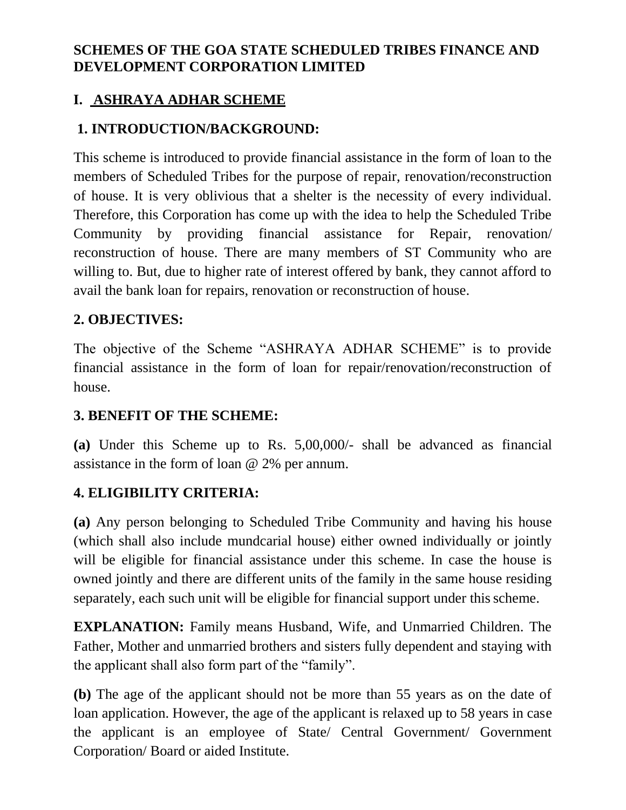#### **SCHEMES OF THE GOA STATE SCHEDULED TRIBES FINANCE AND DEVELOPMENT CORPORATION LIMITED**

# **I. ASHRAYA ADHAR SCHEME**

#### **1. INTRODUCTION/BACKGROUND:**

This scheme is introduced to provide financial assistance in the form of loan to the members of Scheduled Tribes for the purpose of repair, renovation/reconstruction of house. It is very oblivious that a shelter is the necessity of every individual. Therefore, this Corporation has come up with the idea to help the Scheduled Tribe Community by providing financial assistance for Repair, renovation/ reconstruction of house. There are many members of ST Community who are willing to. But, due to higher rate of interest offered by bank, they cannot afford to avail the bank loan for repairs, renovation or reconstruction of house.

#### **2. OBJECTIVES:**

The objective of the Scheme "ASHRAYA ADHAR SCHEME" is to provide financial assistance in the form of loan for repair/renovation/reconstruction of house.

#### **3. BENEFIT OF THE SCHEME:**

**(a)** Under this Scheme up to Rs. 5,00,000/- shall be advanced as financial assistance in the form of loan @ 2% per annum.

#### **4. ELIGIBILITY CRITERIA:**

**(a)** Any person belonging to Scheduled Tribe Community and having his house (which shall also include mundcarial house) either owned individually or jointly will be eligible for financial assistance under this scheme. In case the house is owned jointly and there are different units of the family in the same house residing separately, each such unit will be eligible for financial support under this scheme.

**EXPLANATION:** Family means Husband, Wife, and Unmarried Children. The Father, Mother and unmarried brothers and sisters fully dependent and staying with the applicant shall also form part of the "family".

**(b)** The age of the applicant should not be more than 55 years as on the date of loan application. However, the age of the applicant is relaxed up to 58 years in case the applicant is an employee of State/ Central Government/ Government Corporation/ Board or aided Institute.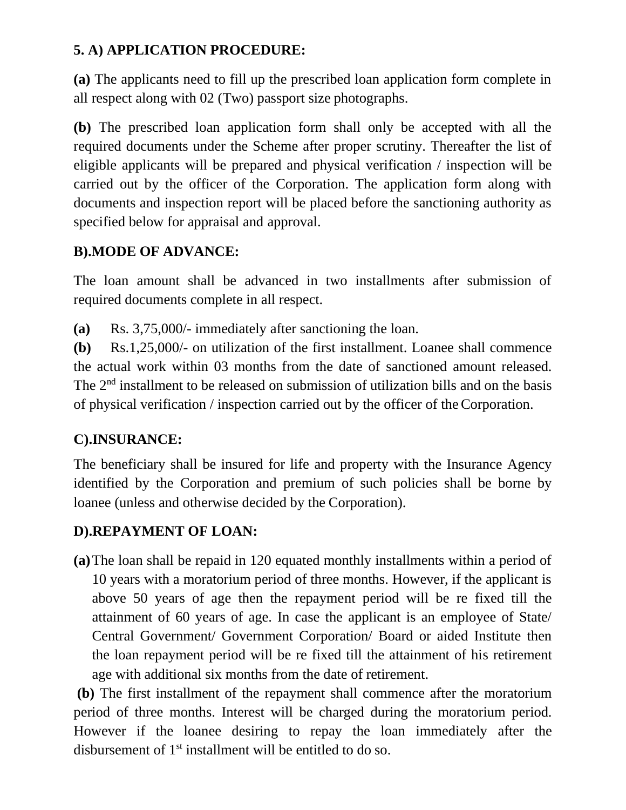## **5. A) APPLICATION PROCEDURE:**

**(a)** The applicants need to fill up the prescribed loan application form complete in all respect along with 02 (Two) passport size photographs.

**(b)** The prescribed loan application form shall only be accepted with all the required documents under the Scheme after proper scrutiny. Thereafter the list of eligible applicants will be prepared and physical verification / inspection will be carried out by the officer of the Corporation. The application form along with documents and inspection report will be placed before the sanctioning authority as specified below for appraisal and approval.

## **B).MODE OF ADVANCE:**

The loan amount shall be advanced in two installments after submission of required documents complete in all respect.

**(a)** Rs. 3,75,000/- immediately after sanctioning the loan.

**(b)** Rs.1,25,000/- on utilization of the first installment. Loanee shall commence the actual work within 03 months from the date of sanctioned amount released. The 2<sup>nd</sup> installment to be released on submission of utilization bills and on the basis of physical verification / inspection carried out by the officer of theCorporation.

## **C).INSURANCE:**

The beneficiary shall be insured for life and property with the Insurance Agency identified by the Corporation and premium of such policies shall be borne by loanee (unless and otherwise decided by the Corporation).

#### **D).REPAYMENT OF LOAN:**

**(a)**The loan shall be repaid in 120 equated monthly installments within a period of 10 years with a moratorium period of three months. However, if the applicant is above 50 years of age then the repayment period will be re fixed till the attainment of 60 years of age. In case the applicant is an employee of State/ Central Government/ Government Corporation/ Board or aided Institute then the loan repayment period will be re fixed till the attainment of his retirement age with additional six months from the date of retirement.

**(b)** The first installment of the repayment shall commence after the moratorium period of three months. Interest will be charged during the moratorium period. However if the loanee desiring to repay the loan immediately after the disbursement of 1<sup>st</sup> installment will be entitled to do so.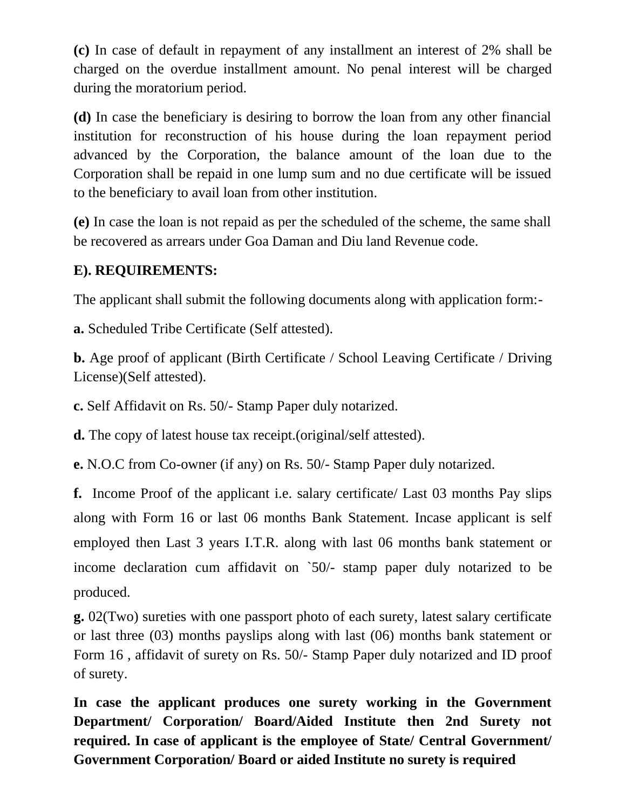**(c)** In case of default in repayment of any installment an interest of 2% shall be charged on the overdue installment amount. No penal interest will be charged during the moratorium period.

**(d)** In case the beneficiary is desiring to borrow the loan from any other financial institution for reconstruction of his house during the loan repayment period advanced by the Corporation, the balance amount of the loan due to the Corporation shall be repaid in one lump sum and no due certificate will be issued to the beneficiary to avail loan from other institution.

**(e)** In case the loan is not repaid as per the scheduled of the scheme, the same shall be recovered as arrears under Goa Daman and Diu land Revenue code.

#### **E). REQUIREMENTS:**

The applicant shall submit the following documents along with application form:-

**a.** Scheduled Tribe Certificate (Self attested).

**b.** Age proof of applicant (Birth Certificate / School Leaving Certificate / Driving License)(Self attested).

**c.** Self Affidavit on Rs. 50/- Stamp Paper duly notarized.

**d.** The copy of latest house tax receipt.(original/self attested).

**e.** N.O.C from Co-owner (if any) on Rs. 50/- Stamp Paper duly notarized.

**f.** Income Proof of the applicant i.e. salary certificate/ Last 03 months Pay slips along with Form 16 or last 06 months Bank Statement. Incase applicant is self employed then Last 3 years I.T.R. along with last 06 months bank statement or income declaration cum affidavit on `50/- stamp paper duly notarized to be produced.

**g.** 02(Two) sureties with one passport photo of each surety, latest salary certificate or last three (03) months payslips along with last (06) months bank statement or Form 16 , affidavit of surety on Rs. 50/- Stamp Paper duly notarized and ID proof of surety.

**In case the applicant produces one surety working in the Government Department/ Corporation/ Board/Aided Institute then 2nd Surety not required. In case of applicant is the employee of State/ Central Government/ Government Corporation/ Board or aided Institute no surety is required**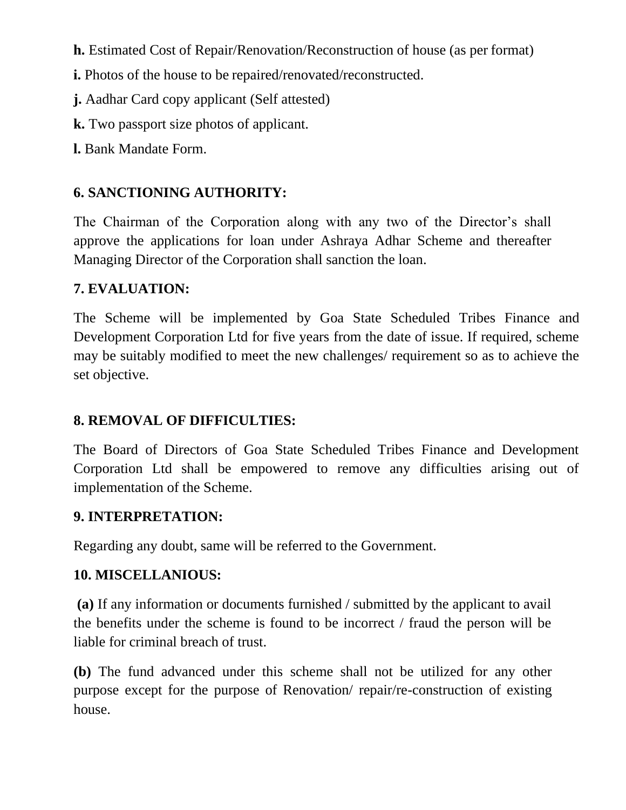**h.** Estimated Cost of Repair/Renovation/Reconstruction of house (as per format)

- **i.** Photos of the house to be repaired/renovated/reconstructed.
- **j.** Aadhar Card copy applicant (Self attested)
- **k.** Two passport size photos of applicant.
- **l.** Bank Mandate Form.

# **6. SANCTIONING AUTHORITY:**

The Chairman of the Corporation along with any two of the Director's shall approve the applications for loan under Ashraya Adhar Scheme and thereafter Managing Director of the Corporation shall sanction the loan.

## **7. EVALUATION:**

The Scheme will be implemented by Goa State Scheduled Tribes Finance and Development Corporation Ltd for five years from the date of issue. If required, scheme may be suitably modified to meet the new challenges/ requirement so as to achieve the set objective.

## **8. REMOVAL OF DIFFICULTIES:**

The Board of Directors of Goa State Scheduled Tribes Finance and Development Corporation Ltd shall be empowered to remove any difficulties arising out of implementation of the Scheme.

## **9. INTERPRETATION:**

Regarding any doubt, same will be referred to the Government.

## **10. MISCELLANIOUS:**

**(a)** If any information or documents furnished / submitted by the applicant to avail the benefits under the scheme is found to be incorrect / fraud the person will be liable for criminal breach of trust.

**(b)** The fund advanced under this scheme shall not be utilized for any other purpose except for the purpose of Renovation/ repair/re-construction of existing house.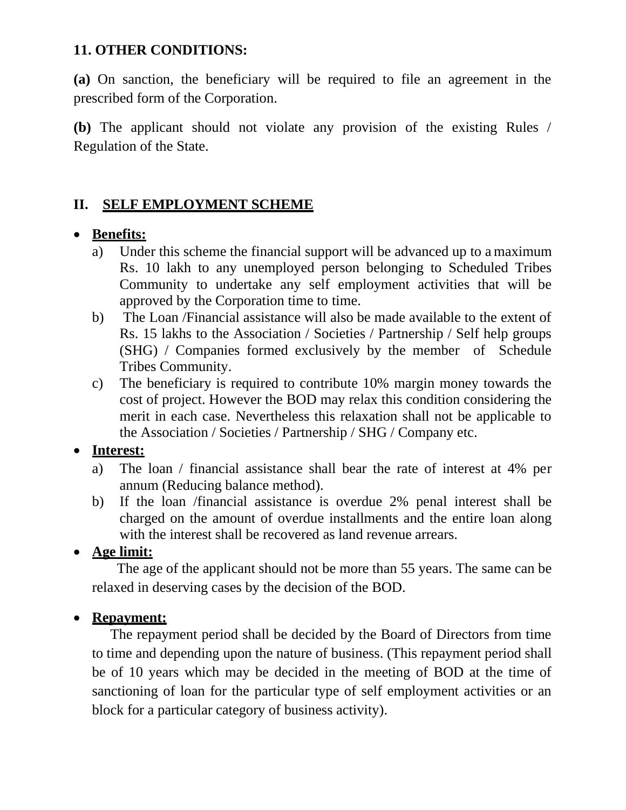#### **11. OTHER CONDITIONS:**

**(a)** On sanction, the beneficiary will be required to file an agreement in the prescribed form of the Corporation.

**(b)** The applicant should not violate any provision of the existing Rules / Regulation of the State.

#### **II. SELF EMPLOYMENT SCHEME**

#### • **Benefits:**

- a) Under this scheme the financial support will be advanced up to a maximum Rs. 10 lakh to any unemployed person belonging to Scheduled Tribes Community to undertake any self employment activities that will be approved by the Corporation time to time.
- b) The Loan /Financial assistance will also be made available to the extent of Rs. 15 lakhs to the Association / Societies / Partnership / Self help groups (SHG) / Companies formed exclusively by the member of Schedule Tribes Community.
- c) The beneficiary is required to contribute 10% margin money towards the cost of project. However the BOD may relax this condition considering the merit in each case. Nevertheless this relaxation shall not be applicable to the Association / Societies / Partnership / SHG / Company etc.

#### • **Interest:**

- a) The loan / financial assistance shall bear the rate of interest at 4% per annum (Reducing balance method).
- b) If the loan /financial assistance is overdue 2% penal interest shall be charged on the amount of overdue installments and the entire loan along with the interest shall be recovered as land revenue arrears.

#### • **Age limit:**

The age of the applicant should not be more than 55 years. The same can be relaxed in deserving cases by the decision of the BOD.

#### • **Repayment:**

The repayment period shall be decided by the Board of Directors from time to time and depending upon the nature of business. (This repayment period shall be of 10 years which may be decided in the meeting of BOD at the time of sanctioning of loan for the particular type of self employment activities or an block for a particular category of business activity).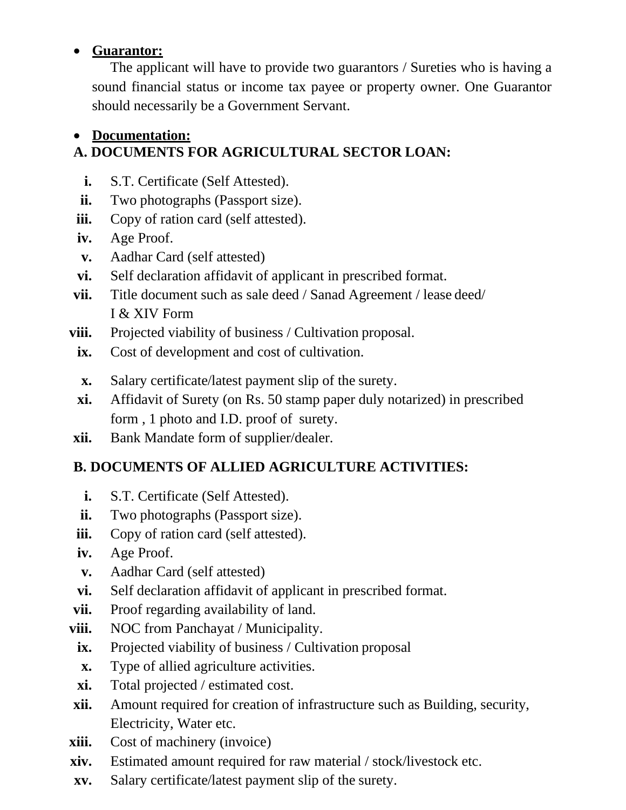## • **Guarantor:**

The applicant will have to provide two guarantors / Sureties who is having a sound financial status or income tax payee or property owner. One Guarantor should necessarily be a Government Servant.

#### • **Documentation: A. DOCUMENTS FOR AGRICULTURAL SECTOR LOAN:**

- **i.** S.T. Certificate (Self Attested).
- **ii.** Two photographs (Passport size).
- **iii.** Copy of ration card (self attested).
- **iv.** Age Proof.
- **v.** Aadhar Card (self attested)
- **vi.** Self declaration affidavit of applicant in prescribed format.
- **vii.** Title document such as sale deed / Sanad Agreement / lease deed/ I & XIV Form
- **viii.** Projected viability of business / Cultivation proposal.
	- **ix.** Cost of development and cost of cultivation.
	- **x.** Salary certificate/latest payment slip of the surety.
	- **xi.** Affidavit of Surety (on Rs. 50 stamp paper duly notarized) in prescribed form , 1 photo and I.D. proof of surety.
- **xii.** Bank Mandate form of supplier/dealer.

# **B. DOCUMENTS OF ALLIED AGRICULTURE ACTIVITIES:**

- **i.** S.T. Certificate (Self Attested).
- **ii.** Two photographs (Passport size).
- **iii.** Copy of ration card (self attested).
- **iv.** Age Proof.
- **v.** Aadhar Card (self attested)
- **vi.** Self declaration affidavit of applicant in prescribed format.
- **vii.** Proof regarding availability of land.
- viii. NOC from Panchayat / Municipality.
	- **ix.** Projected viability of business / Cultivation proposal
	- **x.** Type of allied agriculture activities.
	- **xi.** Total projected / estimated cost.
- **xii.** Amount required for creation of infrastructure such as Building, security, Electricity, Water etc.
- **xiii.** Cost of machinery (invoice)
- **xiv.** Estimated amount required for raw material / stock/livestock etc.
- **xv.** Salary certificate/latest payment slip of the surety.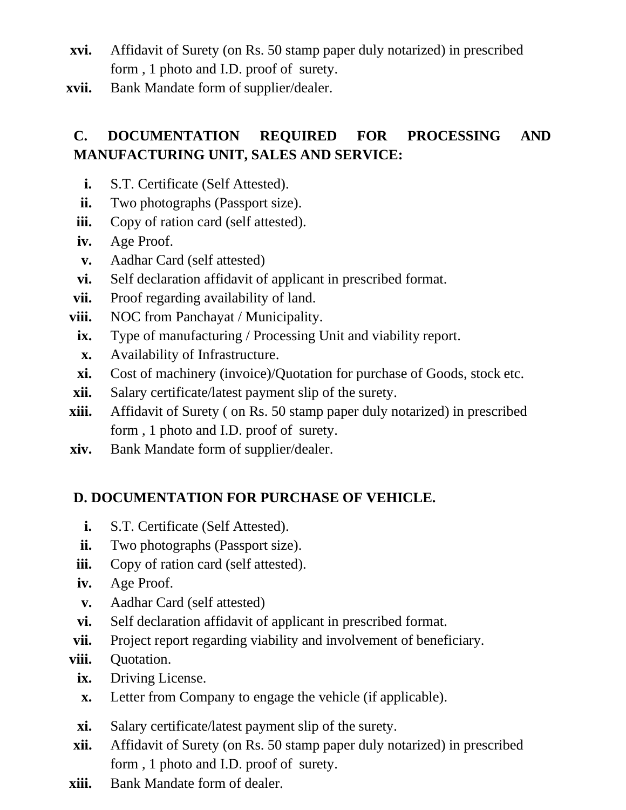- **xvi.** Affidavit of Surety (on Rs. 50 stamp paper duly notarized) in prescribed form , 1 photo and I.D. proof of surety.
- **xvii.** Bank Mandate form of supplier/dealer.

# **C. DOCUMENTATION REQUIRED FOR PROCESSING AND MANUFACTURING UNIT, SALES AND SERVICE:**

- **i.** S.T. Certificate (Self Attested).
- **ii.** Two photographs (Passport size).
- **iii.** Copy of ration card (self attested).
- **iv.** Age Proof.
- **v.** Aadhar Card (self attested)
- **vi.** Self declaration affidavit of applicant in prescribed format.
- **vii.** Proof regarding availability of land.
- viii. NOC from Panchayat / Municipality.
	- **ix.** Type of manufacturing / Processing Unit and viability report.
	- **x.** Availability of Infrastructure.
	- **xi.** Cost of machinery (invoice)/Quotation for purchase of Goods, stock etc.
- **xii.** Salary certificate/latest payment slip of the surety.
- **xiii.** Affidavit of Surety ( on Rs. 50 stamp paper duly notarized) in prescribed form , 1 photo and I.D. proof of surety.
- **xiv.** Bank Mandate form of supplier/dealer.

## **D. DOCUMENTATION FOR PURCHASE OF VEHICLE.**

- **i.** S.T. Certificate (Self Attested).
- **ii.** Two photographs (Passport size).
- **iii.** Copy of ration card (self attested).
- **iv.** Age Proof.
- **v.** Aadhar Card (self attested)
- **vi.** Self declaration affidavit of applicant in prescribed format.
- **vii.** Project report regarding viability and involvement of beneficiary.
- **viii.** Quotation.
	- **ix.** Driving License.
	- **x.** Letter from Company to engage the vehicle (if applicable).
	- **xi.** Salary certificate/latest payment slip of the surety.
- **xii.** Affidavit of Surety (on Rs. 50 stamp paper duly notarized) in prescribed form , 1 photo and I.D. proof of surety.
- **xiii.** Bank Mandate form of dealer.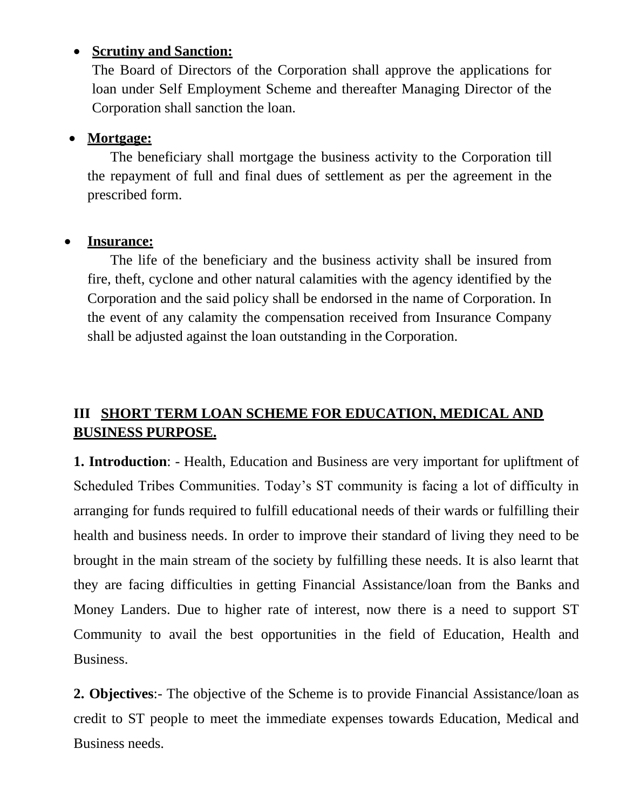#### • **Scrutiny and Sanction:**

The Board of Directors of the Corporation shall approve the applications for loan under Self Employment Scheme and thereafter Managing Director of the Corporation shall sanction the loan.

#### • **Mortgage:**

The beneficiary shall mortgage the business activity to the Corporation till the repayment of full and final dues of settlement as per the agreement in the prescribed form.

#### • **Insurance:**

The life of the beneficiary and the business activity shall be insured from fire, theft, cyclone and other natural calamities with the agency identified by the Corporation and the said policy shall be endorsed in the name of Corporation. In the event of any calamity the compensation received from Insurance Company shall be adjusted against the loan outstanding in the Corporation.

# **III SHORT TERM LOAN SCHEME FOR EDUCATION, MEDICAL AND BUSINESS PURPOSE.**

**1. Introduction**: - Health, Education and Business are very important for upliftment of Scheduled Tribes Communities. Today's ST community is facing a lot of difficulty in arranging for funds required to fulfill educational needs of their wards or fulfilling their health and business needs. In order to improve their standard of living they need to be brought in the main stream of the society by fulfilling these needs. It is also learnt that they are facing difficulties in getting Financial Assistance/loan from the Banks and Money Landers. Due to higher rate of interest, now there is a need to support ST Community to avail the best opportunities in the field of Education, Health and Business.

**2. Objectives**:- The objective of the Scheme is to provide Financial Assistance/loan as credit to ST people to meet the immediate expenses towards Education, Medical and Business needs.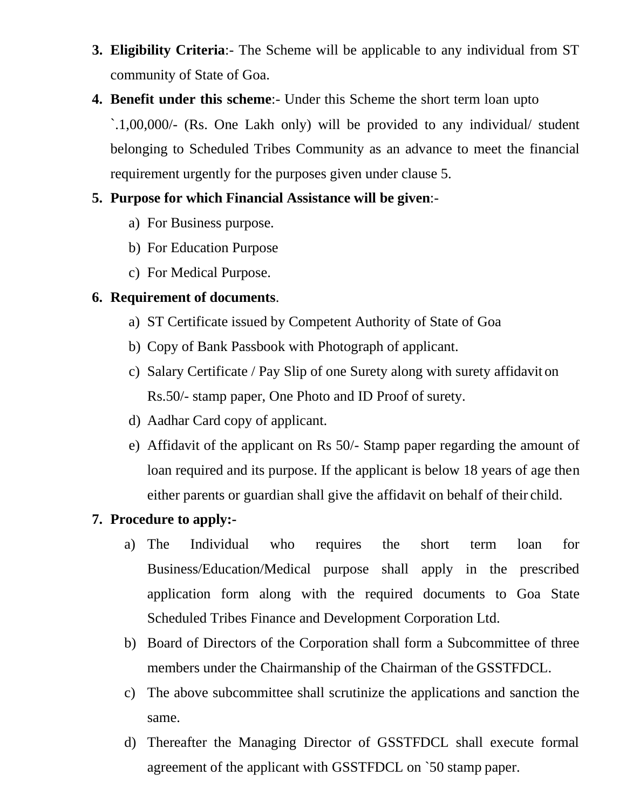- **3. Eligibility Criteria**:- The Scheme will be applicable to any individual from ST community of State of Goa.
- **4. Benefit under this scheme**:- Under this Scheme the short term loan upto `.1,00,000/- (Rs. One Lakh only) will be provided to any individual/ student belonging to Scheduled Tribes Community as an advance to meet the financial requirement urgently for the purposes given under clause 5.

#### **5. Purpose for which Financial Assistance will be given**:-

- a) For Business purpose.
- b) For Education Purpose
- c) For Medical Purpose.

#### **6. Requirement of documents**.

- a) ST Certificate issued by Competent Authority of State of Goa
- b) Copy of Bank Passbook with Photograph of applicant.
- c) Salary Certificate / Pay Slip of one Surety along with surety affidavit on Rs.50/- stamp paper, One Photo and ID Proof of surety.
- d) Aadhar Card copy of applicant.
- e) Affidavit of the applicant on Rs 50/- Stamp paper regarding the amount of loan required and its purpose. If the applicant is below 18 years of age then either parents or guardian shall give the affidavit on behalf of their child.

#### **7. Procedure to apply:-**

- a) The Individual who requires the short term loan for Business/Education/Medical purpose shall apply in the prescribed application form along with the required documents to Goa State Scheduled Tribes Finance and Development Corporation Ltd.
- b) Board of Directors of the Corporation shall form a Subcommittee of three members under the Chairmanship of the Chairman of the GSSTFDCL.
- c) The above subcommittee shall scrutinize the applications and sanction the same.
- d) Thereafter the Managing Director of GSSTFDCL shall execute formal agreement of the applicant with GSSTFDCL on `50 stamp paper.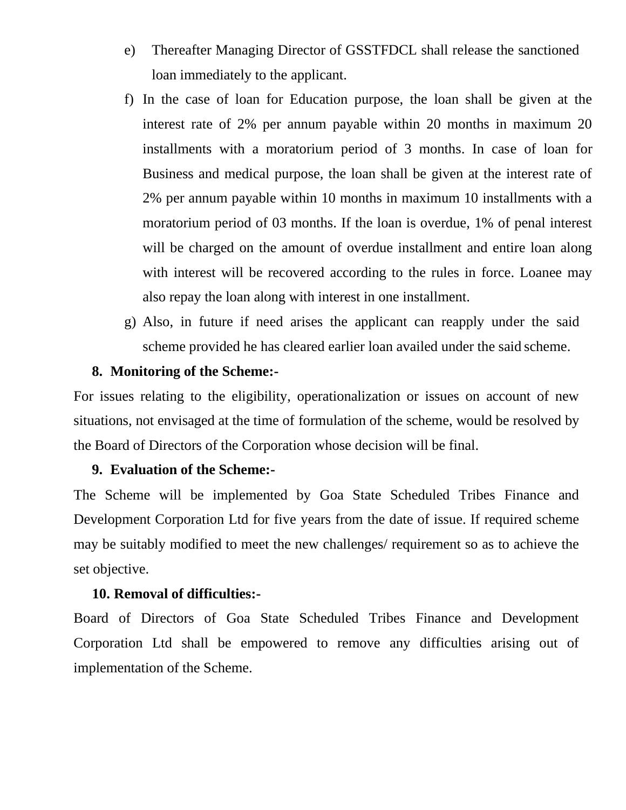- e) Thereafter Managing Director of GSSTFDCL shall release the sanctioned loan immediately to the applicant.
- f) In the case of loan for Education purpose, the loan shall be given at the interest rate of 2% per annum payable within 20 months in maximum 20 installments with a moratorium period of 3 months. In case of loan for Business and medical purpose, the loan shall be given at the interest rate of 2% per annum payable within 10 months in maximum 10 installments with a moratorium period of 03 months. If the loan is overdue, 1% of penal interest will be charged on the amount of overdue installment and entire loan along with interest will be recovered according to the rules in force. Loanee may also repay the loan along with interest in one installment.
- g) Also, in future if need arises the applicant can reapply under the said scheme provided he has cleared earlier loan availed under the said scheme.

#### **8. Monitoring of the Scheme:-**

For issues relating to the eligibility, operationalization or issues on account of new situations, not envisaged at the time of formulation of the scheme, would be resolved by the Board of Directors of the Corporation whose decision will be final.

#### **9. Evaluation of the Scheme:-**

The Scheme will be implemented by Goa State Scheduled Tribes Finance and Development Corporation Ltd for five years from the date of issue. If required scheme may be suitably modified to meet the new challenges/ requirement so as to achieve the set objective.

#### **10. Removal of difficulties:-**

Board of Directors of Goa State Scheduled Tribes Finance and Development Corporation Ltd shall be empowered to remove any difficulties arising out of implementation of the Scheme.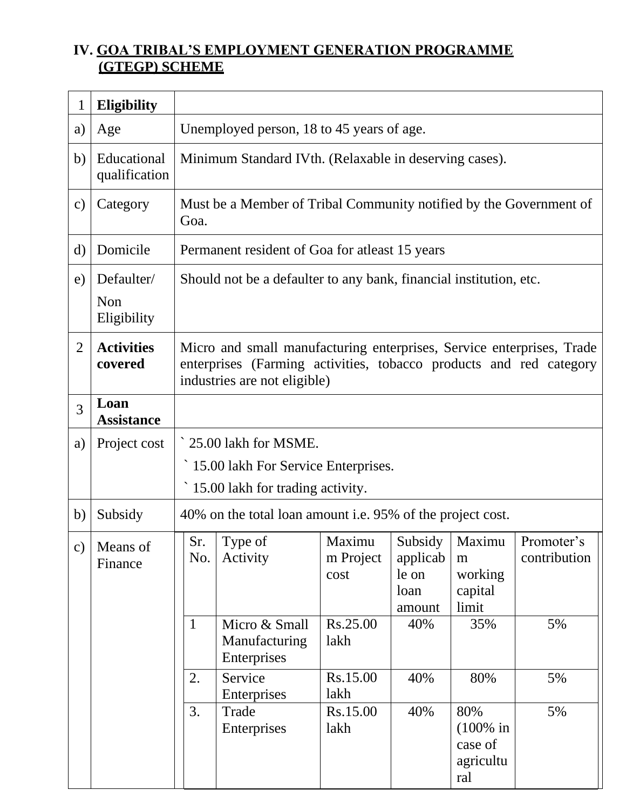## **IV. GOA TRIBAL'S EMPLOYMENT GENERATION PROGRAMME (GTEGP) SCHEME**

| 1              | Eligibility                      |                                                                                                                                                                             |                                               |                             |                                                |                                                            |                            |
|----------------|----------------------------------|-----------------------------------------------------------------------------------------------------------------------------------------------------------------------------|-----------------------------------------------|-----------------------------|------------------------------------------------|------------------------------------------------------------|----------------------------|
| a)             | Age                              | Unemployed person, 18 to 45 years of age.                                                                                                                                   |                                               |                             |                                                |                                                            |                            |
| b)             | Educational<br>qualification     | Minimum Standard IVth. (Relaxable in deserving cases).                                                                                                                      |                                               |                             |                                                |                                                            |                            |
| $\mathbf{c})$  | Category                         | Must be a Member of Tribal Community notified by the Government of<br>Goa.                                                                                                  |                                               |                             |                                                |                                                            |                            |
| $\rm d)$       | Domicile                         | Permanent resident of Goa for at least 15 years                                                                                                                             |                                               |                             |                                                |                                                            |                            |
| e)             | Defaulter/<br>Non<br>Eligibility | Should not be a defaulter to any bank, financial institution, etc.                                                                                                          |                                               |                             |                                                |                                                            |                            |
| $\overline{2}$ | <b>Activities</b><br>covered     | Micro and small manufacturing enterprises, Service enterprises, Trade<br>enterprises (Farming activities, tobacco products and red category<br>industries are not eligible) |                                               |                             |                                                |                                                            |                            |
| 3              | Loan<br><b>Assistance</b>        |                                                                                                                                                                             |                                               |                             |                                                |                                                            |                            |
| a)             | Project cost                     | 25.00 lakh for MSME.                                                                                                                                                        |                                               |                             |                                                |                                                            |                            |
|                |                                  |                                                                                                                                                                             | 15.00 lakh For Service Enterprises.           |                             |                                                |                                                            |                            |
|                |                                  |                                                                                                                                                                             | 15.00 lakh for trading activity.              |                             |                                                |                                                            |                            |
| b)             | Subsidy                          | 40% on the total loan amount i.e. 95% of the project cost.                                                                                                                  |                                               |                             |                                                |                                                            |                            |
|                | c)   Means of<br>Finance         | Sr.<br>No.                                                                                                                                                                  | Type of<br>Activity                           | Maximu<br>m Project<br>cost | Subsidy<br>applicab<br>le on<br>loan<br>amount | Maximu<br>m<br>working<br>capital<br>limit                 | Promoter's<br>contribution |
|                |                                  | $\mathbf{1}$                                                                                                                                                                | Micro & Small<br>Manufacturing<br>Enterprises | Rs.25.00<br>lakh            | 40%                                            | 35%                                                        | 5%                         |
|                |                                  | 2.                                                                                                                                                                          | Service<br>Enterprises                        | Rs.15.00<br>lakh            | 40%                                            | 80%                                                        | 5%                         |
|                |                                  | 3.                                                                                                                                                                          | Trade<br>Enterprises                          | Rs.15.00<br>lakh            | 40%                                            | 80%<br>$(100\% \text{ in }$<br>case of<br>agricultu<br>ral | 5%                         |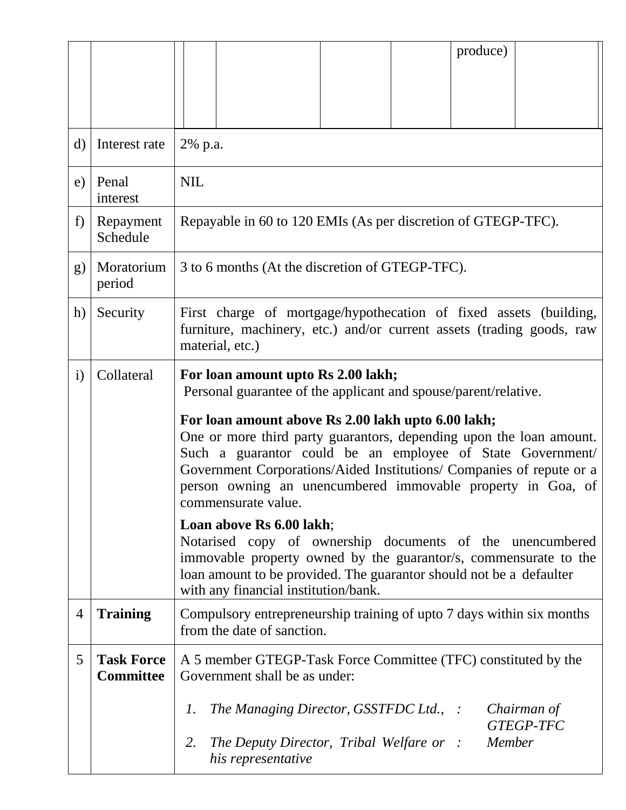|              |                                       |                                                                                                                                                                                                                                                                                                                                                       |                                                                                                                                                                                                                                                                          |  |  | produce) |  |
|--------------|---------------------------------------|-------------------------------------------------------------------------------------------------------------------------------------------------------------------------------------------------------------------------------------------------------------------------------------------------------------------------------------------------------|--------------------------------------------------------------------------------------------------------------------------------------------------------------------------------------------------------------------------------------------------------------------------|--|--|----------|--|
|              |                                       |                                                                                                                                                                                                                                                                                                                                                       |                                                                                                                                                                                                                                                                          |  |  |          |  |
|              |                                       |                                                                                                                                                                                                                                                                                                                                                       |                                                                                                                                                                                                                                                                          |  |  |          |  |
| $\mathbf{d}$ | Interest rate                         | 2% p.a.                                                                                                                                                                                                                                                                                                                                               |                                                                                                                                                                                                                                                                          |  |  |          |  |
| e)           | Penal<br>interest                     | <b>NIL</b>                                                                                                                                                                                                                                                                                                                                            |                                                                                                                                                                                                                                                                          |  |  |          |  |
| f)           | Repayment<br>Schedule                 | Repayable in 60 to 120 EMIs (As per discretion of GTEGP-TFC).                                                                                                                                                                                                                                                                                         |                                                                                                                                                                                                                                                                          |  |  |          |  |
| g)           | Moratorium<br>period                  |                                                                                                                                                                                                                                                                                                                                                       | 3 to 6 months (At the discretion of GTEGP-TFC).                                                                                                                                                                                                                          |  |  |          |  |
| h)           | Security                              | First charge of mortgage/hypothecation of fixed assets (building,<br>furniture, machinery, etc.) and/or current assets (trading goods, raw<br>material, etc.)                                                                                                                                                                                         |                                                                                                                                                                                                                                                                          |  |  |          |  |
| $\mathbf{i}$ | Collateral                            | For loan amount upto Rs 2.00 lakh;<br>Personal guarantee of the applicant and spouse/parent/relative.                                                                                                                                                                                                                                                 |                                                                                                                                                                                                                                                                          |  |  |          |  |
|              |                                       | For loan amount above Rs 2.00 lakh upto 6.00 lakh;<br>One or more third party guarantors, depending upon the loan amount.<br>Such a guarantor could be an employee of State Government/<br>Government Corporations/Aided Institutions/ Companies of repute or a<br>person owning an unencumbered immovable property in Goa, of<br>commensurate value. |                                                                                                                                                                                                                                                                          |  |  |          |  |
|              |                                       |                                                                                                                                                                                                                                                                                                                                                       | Loan above Rs 6.00 lakh;<br>Notarised copy of ownership documents of the unencumbered<br>immovable property owned by the guarantor/s, commensurate to the<br>loan amount to be provided. The guarantor should not be a defaulter<br>with any financial institution/bank. |  |  |          |  |
| 4            | <b>Training</b>                       |                                                                                                                                                                                                                                                                                                                                                       | Compulsory entrepreneurship training of upto 7 days within six months                                                                                                                                                                                                    |  |  |          |  |
|              |                                       |                                                                                                                                                                                                                                                                                                                                                       | from the date of sanction.                                                                                                                                                                                                                                               |  |  |          |  |
| 5            | <b>Task Force</b><br><b>Committee</b> |                                                                                                                                                                                                                                                                                                                                                       | A 5 member GTEGP-Task Force Committee (TFC) constituted by the<br>Government shall be as under:                                                                                                                                                                          |  |  |          |  |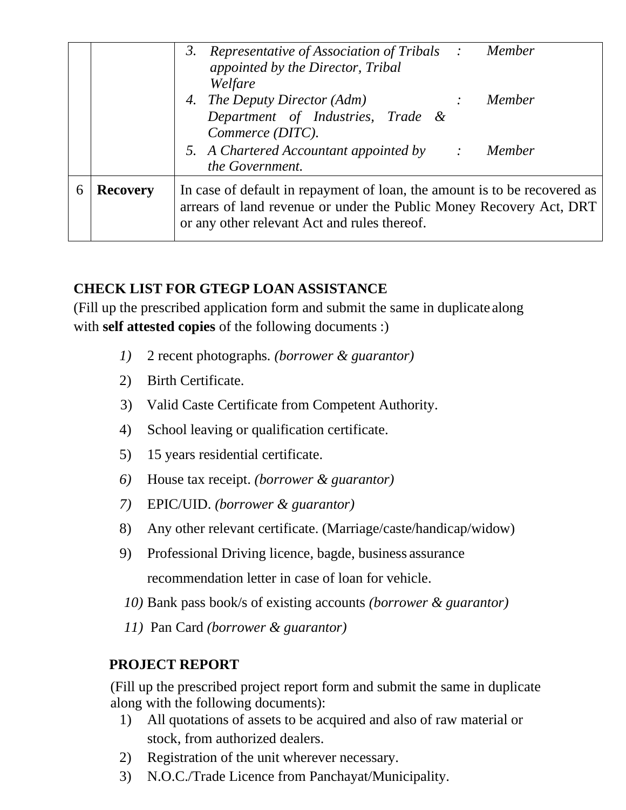|   |                 | 3. Representative of Association of Tribals : Member<br>appointed by the Director, Tribal<br>Welfare                                                                                             |
|---|-----------------|--------------------------------------------------------------------------------------------------------------------------------------------------------------------------------------------------|
|   |                 | 4. The Deputy Director (Adm)<br><b>Member</b><br>Department of Industries, Trade &<br>Commerce (DITC).                                                                                           |
|   |                 | 5. A Chartered Accountant appointed by : Member<br>the Government.                                                                                                                               |
| h | <b>Recovery</b> | In case of default in repayment of loan, the amount is to be recovered as<br>arrears of land revenue or under the Public Money Recovery Act, DRT<br>or any other relevant Act and rules thereof. |

## **CHECK LIST FOR GTEGP LOAN ASSISTANCE**

(Fill up the prescribed application form and submit the same in duplicate along with **self attested copies** of the following documents :)

- *1)* 2 recent photographs*. (borrower & guarantor)*
- 2) Birth Certificate.
- 3) Valid Caste Certificate from Competent Authority.
- 4) School leaving or qualification certificate.
- 5) 15 years residential certificate.
- *6)* House tax receipt. *(borrower & guarantor)*
- *7)* EPIC/UID. *(borrower & guarantor)*
- 8) Any other relevant certificate. (Marriage/caste/handicap/widow)
- 9) Professional Driving licence, bagde, business assurance recommendation letter in case of loan for vehicle.
- *10)* Bank pass book/s of existing accounts *(borrower & guarantor)*
- *11)* Pan Card *(borrower & guarantor)*

# **PROJECT REPORT**

(Fill up the prescribed project report form and submit the same in duplicate along with the following documents):

- 1) All quotations of assets to be acquired and also of raw material or stock, from authorized dealers.
- 2) Registration of the unit wherever necessary.
- 3) N.O.C./Trade Licence from Panchayat/Municipality.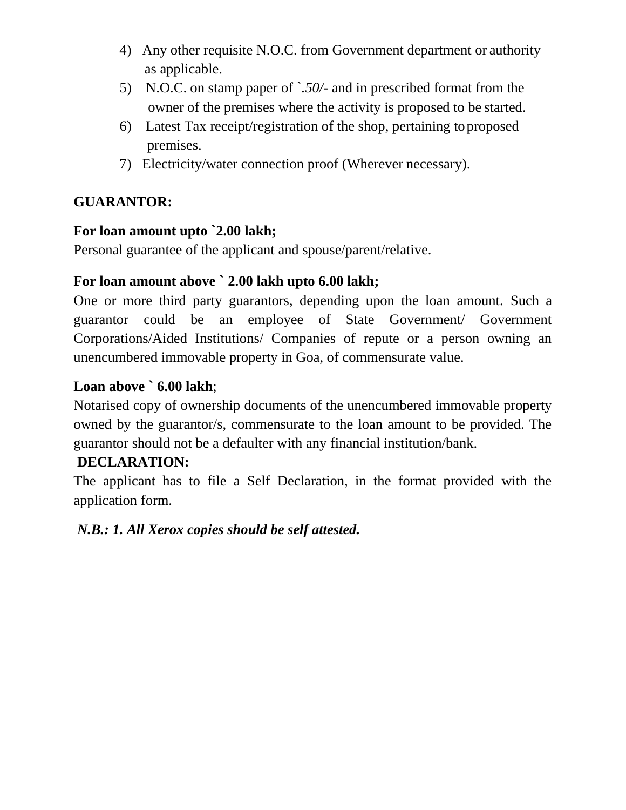- 4) Any other requisite N.O.C. from Government department or authority as applicable.
- 5) N.O.C. on stamp paper of `*.50/-* and in prescribed format from the owner of the premises where the activity is proposed to be started.
- 6) Latest Tax receipt/registration of the shop, pertaining toproposed premises.
- 7) Electricity/water connection proof (Wherever necessary).

## **GUARANTOR:**

#### **For loan amount upto `2.00 lakh;**

Personal guarantee of the applicant and spouse/parent/relative.

## **For loan amount above ` 2.00 lakh upto 6.00 lakh;**

One or more third party guarantors, depending upon the loan amount. Such a guarantor could be an employee of State Government/ Government Corporations/Aided Institutions/ Companies of repute or a person owning an unencumbered immovable property in Goa, of commensurate value.

#### **Loan above ` 6.00 lakh**;

Notarised copy of ownership documents of the unencumbered immovable property owned by the guarantor/s, commensurate to the loan amount to be provided. The guarantor should not be a defaulter with any financial institution/bank.

## **DECLARATION:**

The applicant has to file a Self Declaration, in the format provided with the application form.

## *N.B.: 1. All Xerox copies should be self attested.*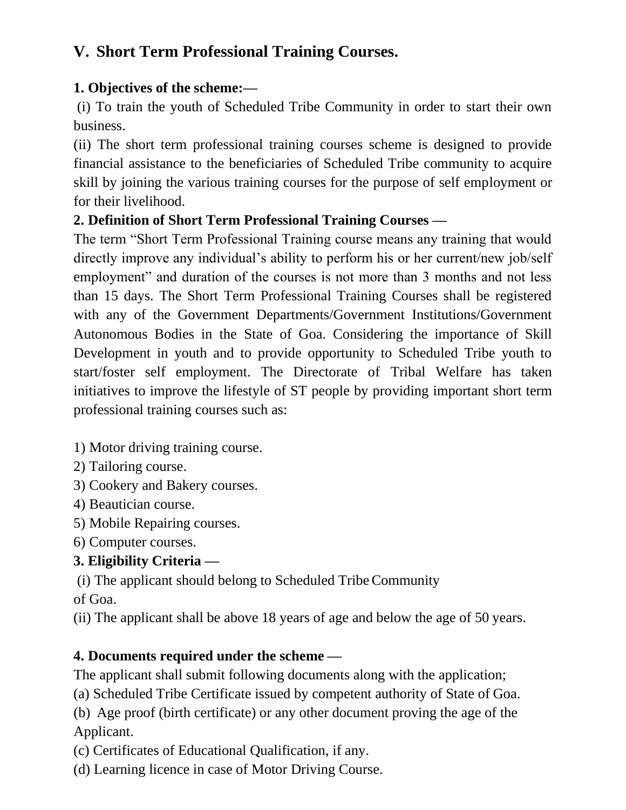# **V. Short Term Professional Training Courses.**

# **1. Objectives of the scheme:—**

(i) To train the youth of Scheduled Tribe Community in order to start their own business.

(ii) The short term professional training courses scheme is designed to provide financial assistance to the beneficiaries of Scheduled Tribe community to acquire skill by joining the various training courses for the purpose of self employment or for their livelihood.

# **2. Definition of Short Term Professional Training Courses —**

The term "Short Term Professional Training course means any training that would directly improve any individual's ability to perform his or her current/new job/self employment" and duration of the courses is not more than 3 months and not less than 15 days. The Short Term Professional Training Courses shall be registered with any of the Government Departments/Government Institutions/Government Autonomous Bodies in the State of Goa. Considering the importance of Skill Development in youth and to provide opportunity to Scheduled Tribe youth to start/foster self employment. The Directorate of Tribal Welfare has taken initiatives to improve the lifestyle of ST people by providing important short term professional training courses such as:

1) Motor driving training course.

2) Tailoring course.

- 3) Cookery and Bakery courses.
- 4) Beautician course.
- 5) Mobile Repairing courses.
- 6) Computer courses.

# **3. Eligibility Criteria —**

(i) The applicant should belong to Scheduled TribeCommunity

of Goa.

(ii) The applicant shall be above 18 years of age and below the age of 50 years.

# **4. Documents required under the scheme —**

The applicant shall submit following documents along with the application;

(a) Scheduled Tribe Certificate issued by competent authority of State of Goa.

(b) Age proof (birth certificate) or any other document proving the age of the Applicant.

(c) Certificates of Educational Qualification, if any.

(d) Learning licence in case of Motor Driving Course.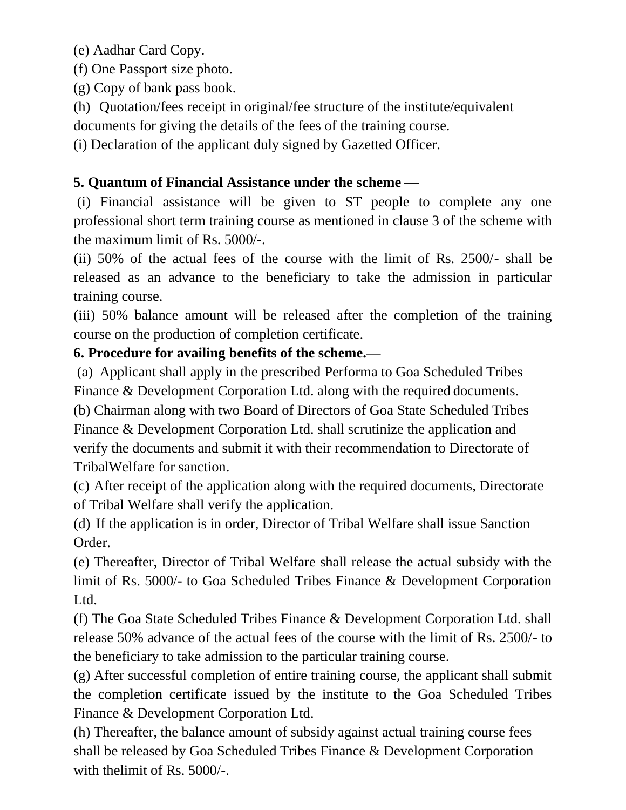(e) Aadhar Card Copy.

(f) One Passport size photo.

(g) Copy of bank pass book.

(h) Quotation/fees receipt in original/fee structure of the institute/equivalent documents for giving the details of the fees of the training course.

(i) Declaration of the applicant duly signed by Gazetted Officer.

## **5. Quantum of Financial Assistance under the scheme —**

(i) Financial assistance will be given to ST people to complete any one professional short term training course as mentioned in clause 3 of the scheme with the maximum limit of Rs. 5000/-.

(ii) 50% of the actual fees of the course with the limit of Rs. 2500/- shall be released as an advance to the beneficiary to take the admission in particular training course.

(iii) 50% balance amount will be released after the completion of the training course on the production of completion certificate.

## **6. Procedure for availing benefits of the scheme.—**

(a) Applicant shall apply in the prescribed Performa to Goa Scheduled Tribes Finance & Development Corporation Ltd. along with the required documents.

(b) Chairman along with two Board of Directors of Goa State Scheduled Tribes Finance & Development Corporation Ltd. shall scrutinize the application and verify the documents and submit it with their recommendation to Directorate of TribalWelfare for sanction.

(c) After receipt of the application along with the required documents, Directorate of Tribal Welfare shall verify the application.

(d) If the application is in order, Director of Tribal Welfare shall issue Sanction Order.

(e) Thereafter, Director of Tribal Welfare shall release the actual subsidy with the limit of Rs. 5000/- to Goa Scheduled Tribes Finance & Development Corporation Ltd.

(f) The Goa State Scheduled Tribes Finance & Development Corporation Ltd. shall release 50% advance of the actual fees of the course with the limit of Rs. 2500/- to the beneficiary to take admission to the particular training course.

(g) After successful completion of entire training course, the applicant shall submit the completion certificate issued by the institute to the Goa Scheduled Tribes Finance & Development Corporation Ltd.

(h) Thereafter, the balance amount of subsidy against actual training course fees shall be released by Goa Scheduled Tribes Finance & Development Corporation with thelimit of Rs. 5000/-.